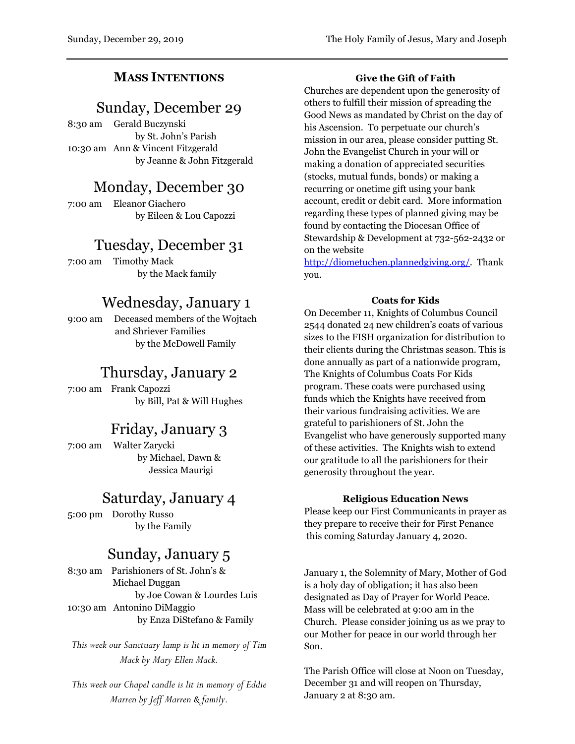### **MASS INTENTIONS**

## Sunday, December 29

8:30 am Gerald Buczynski by St. John's Parish 10:30 am Ann & Vincent Fitzgerald by Jeanne & John Fitzgerald

## Monday, December 30

7:00 am Eleanor Giachero by Eileen & Lou Capozzi

## Tuesday, December 31

7:00 am Timothy Mack by the Mack family

# Wednesday, January 1

9:00 am Deceased members of the Wojtach and Shriever Families by the McDowell Family

# Thursday, January 2

7:00 am Frank Capozzi by Bill, Pat & Will Hughes

# Friday, January 3

7:00 am Walter Zarycki by Michael, Dawn & Jessica Maurigi

## Saturday, January 4

5:00 pm Dorothy Russo by the Family

## Sunday, January 5

8:30 am Parishioners of St. John's & Michael Duggan by Joe Cowan & Lourdes Luis 10:30 am Antonino DiMaggio by Enza DiStefano & Family

*This week our Sanctuary lamp is lit in memory of Tim Mack by Mary Ellen Mack.*

*This week our Chapel candle is lit in memory of Eddie Marren by Jeff Marren & family.*

#### **Give the Gift of Faith**

Churches are dependent upon the generosity of others to fulfill their mission of spreading the Good News as mandated by Christ on the day of his Ascension. To perpetuate our church's mission in our area, please consider putting St. John the Evangelist Church in your will or making a donation of appreciated securities (stocks, mutual funds, bonds) or making a recurring or onetime gift using your bank account, credit or debit card. More information regarding these types of planned giving may be found by contacting the Diocesan Office of Stewardship & Development at 732-562-2432 or on the website

[http://diometuchen.plannedgiving.org/.](http://diometuchen.plannedgiving.org/) Thank you.

#### **Coats for Kids**

On December 11, Knights of Columbus Council 2544 donated 24 new children's coats of various sizes to the FISH organization for distribution to their clients during the Christmas season. This is done annually as part of a nationwide program, The Knights of Columbus Coats For Kids program. These coats were purchased using funds which the Knights have received from their various fundraising activities. We are grateful to parishioners of St. John the Evangelist who have generously supported many of these activities. The Knights wish to extend our gratitude to all the parishioners for their generosity throughout the year.

#### **Religious Education News**

Please keep our First Communicants in prayer as they prepare to receive their for First Penance this coming Saturday January 4, 2020.

January 1, the Solemnity of Mary, Mother of God is a holy day of obligation; it has also been designated as Day of Prayer for World Peace. Mass will be celebrated at 9:00 am in the Church. Please consider joining us as we pray to our Mother for peace in our world through her Son.

The Parish Office will close at Noon on Tuesday, December 31 and will reopen on Thursday, January 2 at 8:30 am.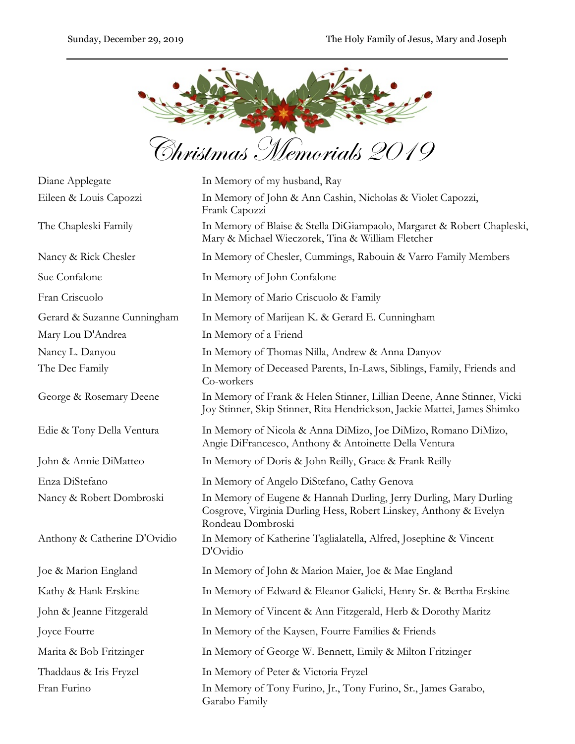

| Diane Applegate              | In Memory of my husband, Ray                                                                                                                                |
|------------------------------|-------------------------------------------------------------------------------------------------------------------------------------------------------------|
| Eileen & Louis Capozzi       | In Memory of John & Ann Cashin, Nicholas & Violet Capozzi,<br>Frank Capozzi                                                                                 |
| The Chapleski Family         | In Memory of Blaise & Stella DiGiampaolo, Margaret & Robert Chapleski,<br>Mary & Michael Wieczorek, Tina & William Fletcher                                 |
| Nancy & Rick Chesler         | In Memory of Chesler, Cummings, Rabouin & Varro Family Members                                                                                              |
| Sue Confalone                | In Memory of John Confalone                                                                                                                                 |
| Fran Criscuolo               | In Memory of Mario Criscuolo & Family                                                                                                                       |
| Gerard & Suzanne Cunningham  | In Memory of Marijean K. & Gerard E. Cunningham                                                                                                             |
| Mary Lou D'Andrea            | In Memory of a Friend                                                                                                                                       |
| Nancy L. Danyou              | In Memory of Thomas Nilla, Andrew & Anna Danyov                                                                                                             |
| The Dec Family               | In Memory of Deceased Parents, In-Laws, Siblings, Family, Friends and<br>Co-workers                                                                         |
| George & Rosemary Deene      | In Memory of Frank & Helen Stinner, Lillian Deene, Anne Stinner, Vicki<br>Joy Stinner, Skip Stinner, Rita Hendrickson, Jackie Mattei, James Shimko          |
| Edie & Tony Della Ventura    | In Memory of Nicola & Anna DiMizo, Joe DiMizo, Romano DiMizo,<br>Angie DiFrancesco, Anthony & Antoinette Della Ventura                                      |
| John & Annie DiMatteo        | In Memory of Doris & John Reilly, Grace & Frank Reilly                                                                                                      |
| Enza DiStefano               | In Memory of Angelo DiStefano, Cathy Genova                                                                                                                 |
| Nancy & Robert Dombroski     | In Memory of Eugene & Hannah Durling, Jerry Durling, Mary Durling<br>Cosgrove, Virginia Durling Hess, Robert Linskey, Anthony & Evelyn<br>Rondeau Dombroski |
| Anthony & Catherine D'Ovidio | In Memory of Katherine Taglialatella, Alfred, Josephine & Vincent<br>D'Ovidio                                                                               |
| Joe & Marion England         | In Memory of John & Marion Maier, Joe & Mae England                                                                                                         |
| Kathy & Hank Erskine         | In Memory of Edward & Eleanor Galicki, Henry Sr. & Bertha Erskine                                                                                           |
| John & Jeanne Fitzgerald     | In Memory of Vincent & Ann Fitzgerald, Herb & Dorothy Maritz                                                                                                |
| Joyce Fourre                 | In Memory of the Kaysen, Fourre Families & Friends                                                                                                          |
| Marita & Bob Fritzinger      | In Memory of George W. Bennett, Emily & Milton Fritzinger                                                                                                   |
| Thaddaus & Iris Fryzel       | In Memory of Peter & Victoria Fryzel                                                                                                                        |
| Fran Furino                  | In Memory of Tony Furino, Jr., Tony Furino, Sr., James Garabo,<br>Garabo Family                                                                             |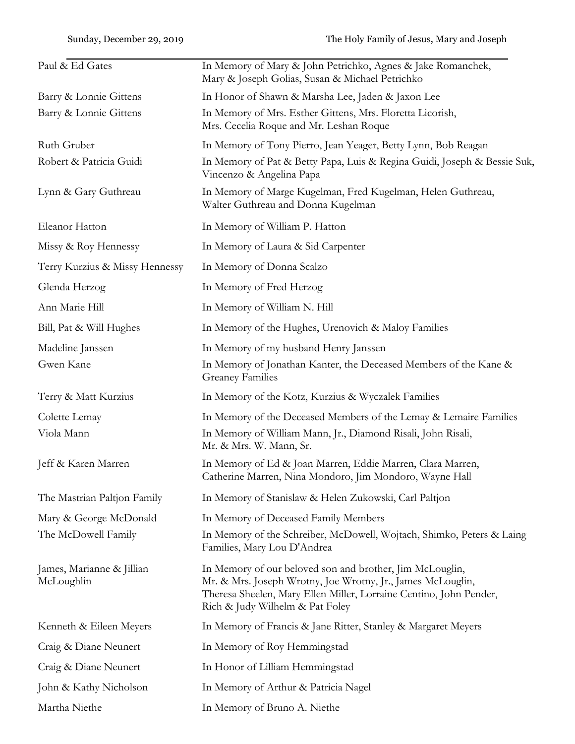| Paul & Ed Gates                         | In Memory of Mary & John Petrichko, Agnes & Jake Romanchek,<br>Mary & Joseph Golias, Susan & Michael Petrichko                                                                                                                   |
|-----------------------------------------|----------------------------------------------------------------------------------------------------------------------------------------------------------------------------------------------------------------------------------|
| Barry & Lonnie Gittens                  | In Honor of Shawn & Marsha Lee, Jaden & Jaxon Lee                                                                                                                                                                                |
| Barry & Lonnie Gittens                  | In Memory of Mrs. Esther Gittens, Mrs. Floretta Licorish,<br>Mrs. Cecelia Roque and Mr. Leshan Roque                                                                                                                             |
| Ruth Gruber                             | In Memory of Tony Pierro, Jean Yeager, Betty Lynn, Bob Reagan                                                                                                                                                                    |
| Robert & Patricia Guidi                 | In Memory of Pat & Betty Papa, Luis & Regina Guidi, Joseph & Bessie Suk,<br>Vincenzo & Angelina Papa                                                                                                                             |
| Lynn & Gary Guthreau                    | In Memory of Marge Kugelman, Fred Kugelman, Helen Guthreau,<br>Walter Guthreau and Donna Kugelman                                                                                                                                |
| Eleanor Hatton                          | In Memory of William P. Hatton                                                                                                                                                                                                   |
| Missy & Roy Hennessy                    | In Memory of Laura & Sid Carpenter                                                                                                                                                                                               |
| Terry Kurzius & Missy Hennessy          | In Memory of Donna Scalzo                                                                                                                                                                                                        |
| Glenda Herzog                           | In Memory of Fred Herzog                                                                                                                                                                                                         |
| Ann Marie Hill                          | In Memory of William N. Hill                                                                                                                                                                                                     |
| Bill, Pat & Will Hughes                 | In Memory of the Hughes, Urenovich & Maloy Families                                                                                                                                                                              |
| Madeline Janssen                        | In Memory of my husband Henry Janssen                                                                                                                                                                                            |
| Gwen Kane                               | In Memory of Jonathan Kanter, the Deceased Members of the Kane &<br><b>Greaney Families</b>                                                                                                                                      |
| Terry & Matt Kurzius                    | In Memory of the Kotz, Kurzius & Wyczalek Families                                                                                                                                                                               |
| Colette Lemay                           | In Memory of the Deceased Members of the Lemay & Lemaire Families                                                                                                                                                                |
| Viola Mann                              | In Memory of William Mann, Jr., Diamond Risali, John Risali,<br>Mr. & Mrs. W. Mann, Sr.                                                                                                                                          |
| Jeff & Karen Marren                     | In Memory of Ed & Joan Marren, Eddie Marren, Clara Marren,<br>Catherine Marren, Nina Mondoro, Jim Mondoro, Wayne Hall                                                                                                            |
| The Mastrian Paltjon Family             | In Memory of Stanislaw & Helen Zukowski, Carl Paltjon                                                                                                                                                                            |
| Mary & George McDonald                  | In Memory of Deceased Family Members                                                                                                                                                                                             |
| The McDowell Family                     | In Memory of the Schreiber, McDowell, Wojtach, Shimko, Peters & Laing<br>Families, Mary Lou D'Andrea                                                                                                                             |
| James, Marianne & Jillian<br>McLoughlin | In Memory of our beloved son and brother, Jim McLouglin,<br>Mr. & Mrs. Joseph Wrotny, Joe Wrotny, Jr., James McLouglin,<br>Theresa Sheelen, Mary Ellen Miller, Lorraine Centino, John Pender,<br>Rich & Judy Wilhelm & Pat Foley |
| Kenneth & Eileen Meyers                 | In Memory of Francis & Jane Ritter, Stanley & Margaret Meyers                                                                                                                                                                    |
| Craig & Diane Neunert                   | In Memory of Roy Hemmingstad                                                                                                                                                                                                     |
| Craig & Diane Neunert                   | In Honor of Lilliam Hemmingstad                                                                                                                                                                                                  |
| John & Kathy Nicholson                  | In Memory of Arthur & Patricia Nagel                                                                                                                                                                                             |
| Martha Niethe                           | In Memory of Bruno A. Niethe                                                                                                                                                                                                     |